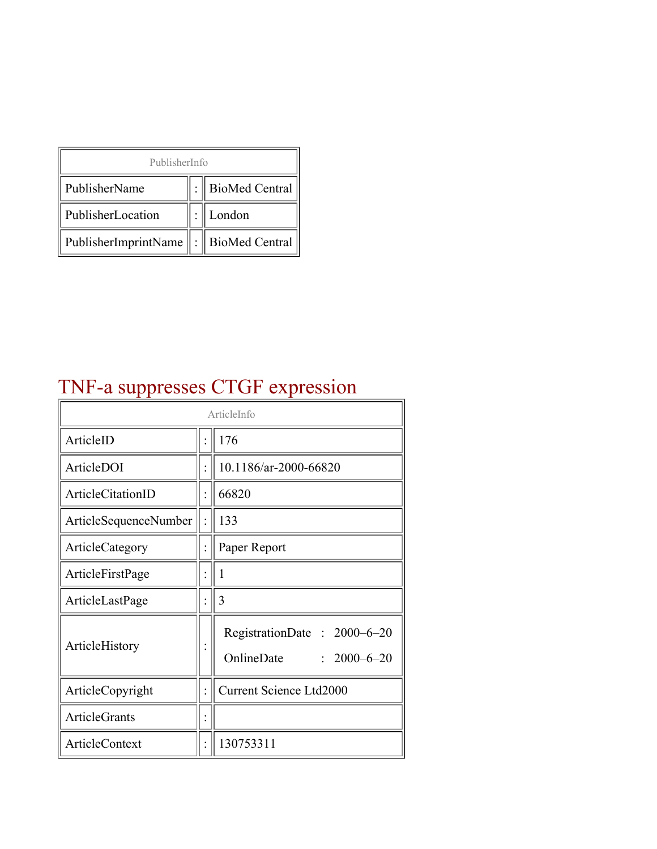| PublisherInfo                              |  |                  |  |  |
|--------------------------------------------|--|------------------|--|--|
| PublisherName                              |  | : BioMed Central |  |  |
| PublisherLocation                          |  | London           |  |  |
| PublisherImprintName   :    BioMed Central |  |                  |  |  |

# TNF-a suppresses CTGF expression

| ArticleInfo           |  |                                                                |
|-----------------------|--|----------------------------------------------------------------|
| ArticleID             |  | 176                                                            |
| ArticleDOI            |  | 10.1186/ar-2000-66820                                          |
| ArticleCitationID     |  | 66820                                                          |
| ArticleSequenceNumber |  | 133                                                            |
| ArticleCategory       |  | Paper Report                                                   |
| ArticleFirstPage      |  | 1                                                              |
| ArticleLastPage       |  | 3                                                              |
| ArticleHistory        |  | RegistrationDate: 2000-6-20<br>OnlineDate<br>$: 2000 - 6 - 20$ |
| ArticleCopyright      |  | <b>Current Science Ltd2000</b>                                 |
| <b>ArticleGrants</b>  |  |                                                                |
| <b>ArticleContext</b> |  | 130753311                                                      |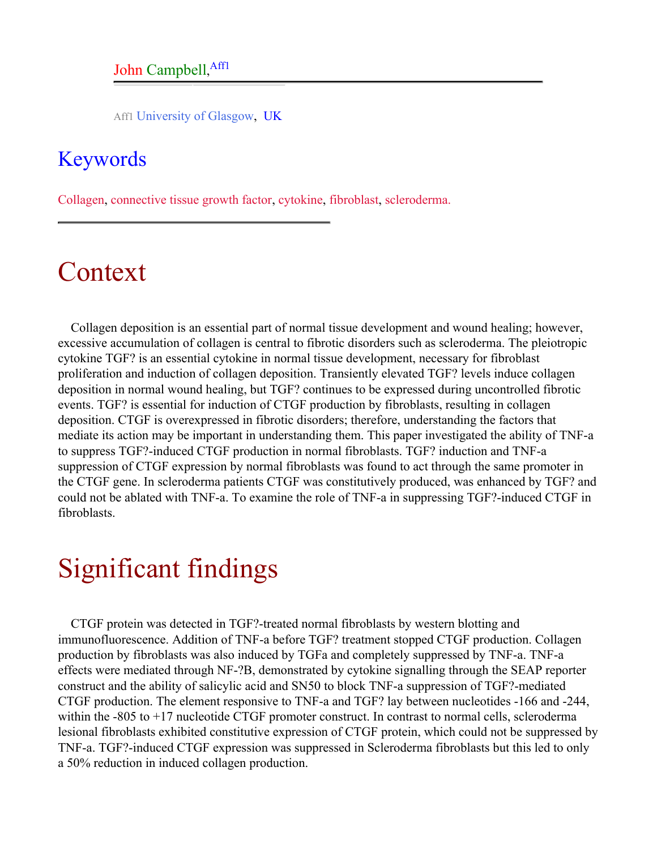#### John Campbell, Affl

Aff1 University of Glasgow, UK

#### <span id="page-1-0"></span>Keywords

Collagen, connective tissue growth factor, cytokine, fibroblast, scleroderma.

## Context

Collagen deposition is an essential part of normal tissue development and wound healing; however, excessive accumulation of collagen is central to fibrotic disorders such as scleroderma. The pleiotropic cytokine TGF? is an essential cytokine in normal tissue development, necessary for fibroblast proliferation and induction of collagen deposition. Transiently elevated TGF? levels induce collagen deposition in normal wound healing, but TGF? continues to be expressed during uncontrolled fibrotic events. TGF? is essential for induction of CTGF production by fibroblasts, resulting in collagen deposition. CTGF is overexpressed in fibrotic disorders; therefore, understanding the factors that mediate its action may be important in understanding them. This paper investigated the ability of TNF-a to suppress TGF?-induced CTGF production in normal fibroblasts. TGF? induction and TNF-a suppression of CTGF expression by normal fibroblasts was found to act through the same promoter in the CTGF gene. In scleroderma patients CTGF was constitutively produced, was enhanced by TGF? and could not be ablated with TNF-a. To examine the role of TNF-a in suppressing TGF?-induced CTGF in fibroblasts.

## Significant findings

CTGF protein was detected in TGF?-treated normal fibroblasts by western blotting and immunofluorescence. Addition of TNF-a before TGF? treatment stopped CTGF production. Collagen production by fibroblasts was also induced by TGFa and completely suppressed by TNF-a. TNF-a effects were mediated through NF-?B, demonstrated by cytokine signalling through the SEAP reporter construct and the ability of salicylic acid and SN50 to block TNF-a suppression of TGF?-mediated CTGF production. The element responsive to TNF-a and TGF? lay between nucleotides -166 and -244, within the -805 to +17 nucleotide CTGF promoter construct. In contrast to normal cells, scleroderma lesional fibroblasts exhibited constitutive expression of CTGF protein, which could not be suppressed by TNF-a. TGF?-induced CTGF expression was suppressed in Scleroderma fibroblasts but this led to only a 50% reduction in induced collagen production.